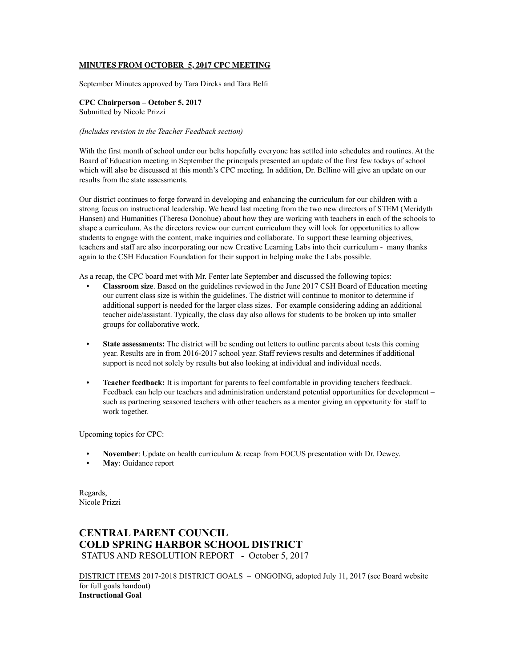# **MINUTES FROM OCTOBER 5, 2017 CPC MEETING**

September Minutes approved by Tara Dircks and Tara Belfi

**CPC Chairperson – October 5, 2017** Submitted by Nicole Prizzi

#### *(Includes revision in the Teacher Feedback section)*

With the first month of school under our belts hopefully everyone has settled into schedules and routines. At the Board of Education meeting in September the principals presented an update of the first few todays of school which will also be discussed at this month's CPC meeting. In addition, Dr. Bellino will give an update on our results from the state assessments.

Our district continues to forge forward in developing and enhancing the curriculum for our children with a strong focus on instructional leadership. We heard last meeting from the two new directors of STEM (Meridyth Hansen) and Humanities (Theresa Donohue) about how they are working with teachers in each of the schools to shape a curriculum. As the directors review our current curriculum they will look for opportunities to allow students to engage with the content, make inquiries and collaborate. To support these learning objectives, teachers and staff are also incorporating our new Creative Learning Labs into their curriculum - many thanks again to the CSH Education Foundation for their support in helping make the Labs possible.

As a recap, the CPC board met with Mr. Fenter late September and discussed the following topics:

- **Classroom size**. Based on the guidelines reviewed in the June 2017 CSH Board of Education meeting our current class size is within the guidelines. The district will continue to monitor to determine if additional support is needed for the larger class sizes. For example considering adding an additional teacher aide/assistant. Typically, the class day also allows for students to be broken up into smaller groups for collaborative work.
- State assessments: The district will be sending out letters to outline parents about tests this coming year. Results are in from 2016-2017 school year. Staff reviews results and determines if additional support is need not solely by results but also looking at individual and individual needs.
- **Teacher feedback:** It is important for parents to feel comfortable in providing teachers feedback. Feedback can help our teachers and administration understand potential opportunities for development – such as partnering seasoned teachers with other teachers as a mentor giving an opportunity for staff to work together.

Upcoming topics for CPC:

- **November**: Update on health curriculum & recap from FOCUS presentation with Dr. Dewey.
- **May**: Guidance report

Regards, Nicole Prizzi

# **CENTRAL PARENT COUNCIL COLD SPRING HARBOR SCHOOL DISTRICT** STATUS AND RESOLUTION REPORT - October 5, 2017

DISTRICT ITEMS 2017-2018 DISTRICT GOALS – ONGOING, adopted July 11, 2017 (see Board website for full goals handout) **Instructional Goal**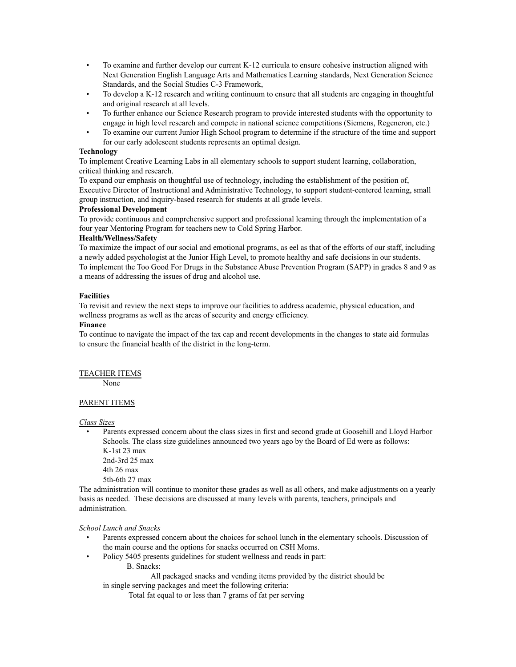- To examine and further develop our current K-12 curricula to ensure cohesive instruction aligned with Next Generation English Language Arts and Mathematics Learning standards, Next Generation Science Standards, and the Social Studies C-3 Framework,
- To develop a K-12 research and writing continuum to ensure that all students are engaging in thoughtful and original research at all levels.
- To further enhance our Science Research program to provide interested students with the opportunity to engage in high level research and compete in national science competitions (Siemens, Regeneron, etc.)
- To examine our current Junior High School program to determine if the structure of the time and support for our early adolescent students represents an optimal design.

#### **Technology**

To implement Creative Learning Labs in all elementary schools to support student learning, collaboration, critical thinking and research.

To expand our emphasis on thoughtful use of technology, including the establishment of the position of, Executive Director of Instructional and Administrative Technology, to support student-centered learning, small group instruction, and inquiry-based research for students at all grade levels.

# **Professional Development**

To provide continuous and comprehensive support and professional learning through the implementation of a four year Mentoring Program for teachers new to Cold Spring Harbor.

# **Health/Wellness/Safety**

To maximize the impact of our social and emotional programs, as eel as that of the efforts of our staff, including a newly added psychologist at the Junior High Level, to promote healthy and safe decisions in our students. To implement the Too Good For Drugs in the Substance Abuse Prevention Program (SAPP) in grades 8 and 9 as a means of addressing the issues of drug and alcohol use.

# **Facilities**

To revisit and review the next steps to improve our facilities to address academic, physical education, and wellness programs as well as the areas of security and energy efficiency.

# **Finance**

To continue to navigate the impact of the tax cap and recent developments in the changes to state aid formulas to ensure the financial health of the district in the long-term.

# TEACHER ITEMS

None

#### PARENT ITEMS

*Class Sizes*

• Parents expressed concern about the class sizes in first and second grade at Goosehill and Lloyd Harbor Schools. The class size guidelines announced two years ago by the Board of Ed were as follows: K-1st 23 max

2nd-3rd 25 max 4th 26 max 5th-6th 27 max

The administration will continue to monitor these grades as well as all others, and make adjustments on a yearly basis as needed. These decisions are discussed at many levels with parents, teachers, principals and administration.

#### *School Lunch and Snacks*

- Parents expressed concern about the choices for school lunch in the elementary schools. Discussion of the main course and the options for snacks occurred on CSH Moms.
- Policy 5405 presents guidelines for student wellness and reads in part:
	- B. Snacks:

All packaged snacks and vending items provided by the district should be in single serving packages and meet the following criteria:

Total fat equal to or less than 7 grams of fat per serving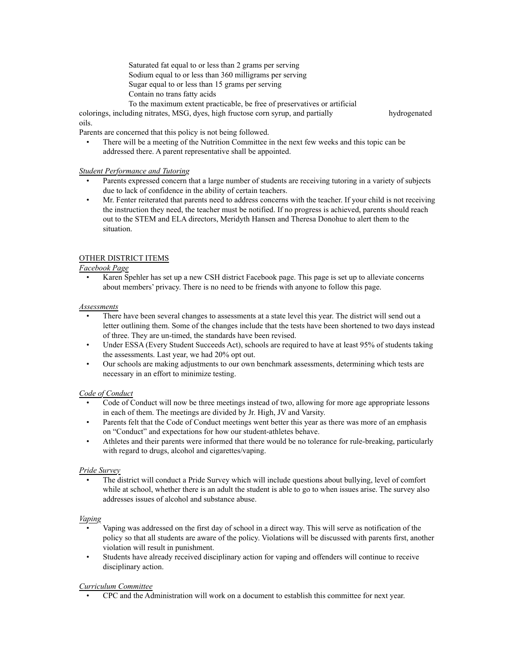Saturated fat equal to or less than 2 grams per serving Sodium equal to or less than 360 milligrams per serving Sugar equal to or less than 15 grams per serving Contain no trans fatty acids To the maximum extent practicable, be free of preservatives or artificial

colorings, including nitrates, MSG, dyes, high fructose corn syrup, and partially hydrogenated oils.

Parents are concerned that this policy is not being followed.

• There will be a meeting of the Nutrition Committee in the next few weeks and this topic can be addressed there. A parent representative shall be appointed.

# *Student Performance and Tutoring*

- Parents expressed concern that a large number of students are receiving tutoring in a variety of subjects due to lack of confidence in the ability of certain teachers.
- Mr. Fenter reiterated that parents need to address concerns with the teacher. If your child is not receiving the instruction they need, the teacher must be notified. If no progress is achieved, parents should reach out to the STEM and ELA directors, Meridyth Hansen and Theresa Donohue to alert them to the situation.

# OTHER DISTRICT ITEMS

# *Facebook Page*

• Karen Spehler has set up a new CSH district Facebook page. This page is set up to alleviate concerns about members' privacy. There is no need to be friends with anyone to follow this page.

# *Assessments*

- There have been several changes to assessments at a state level this year. The district will send out a letter outlining them. Some of the changes include that the tests have been shortened to two days instead of three. They are un-timed, the standards have been revised.
- Under ESSA (Every Student Succeeds Act), schools are required to have at least 95% of students taking the assessments. Last year, we had 20% opt out.
- Our schools are making adjustments to our own benchmark assessments, determining which tests are necessary in an effort to minimize testing.

# *Code of Conduct*

- Code of Conduct will now be three meetings instead of two, allowing for more age appropriate lessons in each of them. The meetings are divided by Jr. High, JV and Varsity.
- Parents felt that the Code of Conduct meetings went better this year as there was more of an emphasis on "Conduct" and expectations for how our student-athletes behave.
- Athletes and their parents were informed that there would be no tolerance for rule-breaking, particularly with regard to drugs, alcohol and cigarettes/vaping.

# *Pride Survey*

• The district will conduct a Pride Survey which will include questions about bullying, level of comfort while at school, whether there is an adult the student is able to go to when issues arise. The survey also addresses issues of alcohol and substance abuse.

#### *Vaping*

- Vaping was addressed on the first day of school in a direct way. This will serve as notification of the policy so that all students are aware of the policy. Violations will be discussed with parents first, another violation will result in punishment.
- Students have already received disciplinary action for vaping and offenders will continue to receive disciplinary action.

#### *Curriculum Committee*

• CPC and the Administration will work on a document to establish this committee for next year.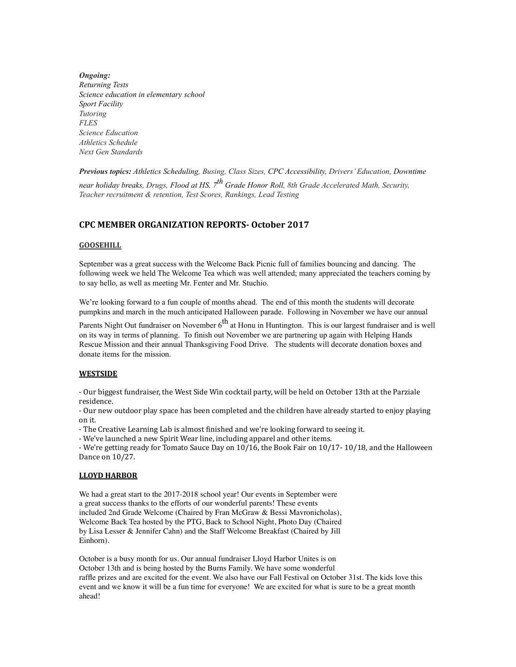*Ongoing: Returning Tests Science education in elementary school Sport Facility Tutoring FLES Science Education Athletics Schedule Next Gen Standards*

*Previous topics: Athletics Scheduling, Busing, Class Sizes, CPC Accessibility, Drivers' Education, Downtime near holiday breaks, Drugs, Flood at HS, 7th Grade Honor Roll, 8th Grade Accelerated Math, Security, Teacher recruitment & retention, Test Scores, Rankings, Lead Testing*

# **CPC MEMBER ORGANIZATION REPORTS- October 2017**

# **GOOSEHILL**

September was a great success with the Welcome Back Picnic full of families bouncing and dancing. The following week we held The Welcome Tea which was well attended; many appreciated the teachers coming by to say hello, as well as meeting Mr. Fenter and Mr. Stuchio.

We're looking forward to a fun couple of months ahead. The end of this month the students will decorate pumpkins and march in the much anticipated Halloween parade. Following in November we have our annual

Parents Night Out fundraiser on November  $6<sup>th</sup>$  at Honu in Huntington. This is our largest fundraiser and is well on its way in terms of planning. To finish out November we are partnering up again with Helping Hands Rescue Mission and their annual Thanksgiving Food Drive. The students will decorate donation boxes and donate items for the mission.

#### **WESTSIDE**

- Our biggest fundraiser, the West Side Win cocktail party, will be held on October 13th at the Parziale residence.

- Our new outdoor play space has been completed and the children have already started to enjoy playing on it. 

- The Creative Learning Lab is almost finished and we're looking forward to seeing it.

- We've launched a new Spirit Wear line, including apparel and other items.

- We're getting ready for Tomato Sauce Day on  $10/16$ , the Book Fair on  $10/17$ -  $10/18$ , and the Halloween Dance on 10/27.

#### **LLOYD HARBOR**

We had a great start to the 2017-2018 school year! Our events in September were a great success thanks to the efforts of our wonderful parents! These events included 2nd Grade Welcome (Chaired by Fran McGraw & Bessi Mavronicholas), Welcome Back Tea hosted by the PTG, Back to School Night, Photo Day (Chaired by Lisa Lesser & Jennifer Cahn) and the Staff Welcome Breakfast (Chaired by Jill Einhorn).

October is a busy month for us. Our annual fundraiser Lloyd Harbor Unites is on October 13th and is being hosted by the Burns Family. We have some wonderful raffle prizes and are excited for the event. We also have our Fall Festival on October 31st. The kids love this event and we know it will be a fun time for everyone! We are excited for what is sure to be a great month ahead!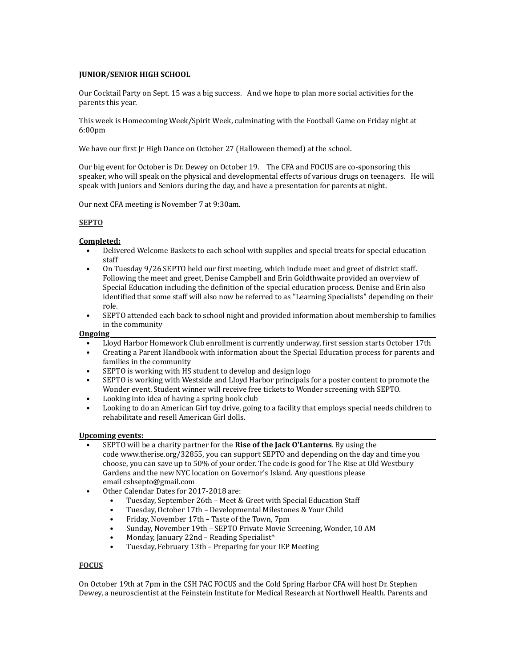# **JUNIOR/SENIOR HIGH SCHOOL**

Our Cocktail Party on Sept. 15 was a big success. And we hope to plan more social activities for the parents this year.

This week is Homecoming Week/Spirit Week, culminating with the Football Game on Friday night at 6:00pm

We have our first Jr High Dance on October 27 (Halloween themed) at the school.

Our big event for October is Dr. Dewey on October 19. The CFA and FOCUS are co-sponsoring this speaker, who will speak on the physical and developmental effects of various drugs on teenagers. He will speak with Juniors and Seniors during the day, and have a presentation for parents at night.

Our next CFA meeting is November 7 at 9:30am.

# **SEPTO**

# **Completed:**

- Delivered Welcome Baskets to each school with supplies and special treats for special education staff
- On Tuesday 9/26 SEPTO held our first meeting, which include meet and greet of district staff. Following the meet and greet, Denise Campbell and Erin Goldthwaite provided an overview of Special Education including the definition of the special education process. Denise and Erin also identified that some staff will also now be referred to as "Learning Specialists" depending on their role.
- SEPTO attended each back to school night and provided information about membership to families in the community

#### **Ongoing**

- Lloyd Harbor Homework Club enrollment is currently underway, first session starts October 17th
- Creating a Parent Handbook with information about the Special Education process for parents and families in the community
- SEPTO is working with HS student to develop and design logo
- SEPTO is working with Westside and Lloyd Harbor principals for a poster content to promote the Wonder event. Student winner will receive free tickets to Wonder screening with SEPTO.
- Looking into idea of having a spring book club
- Looking to do an American Girl toy drive, going to a facility that employs special needs children to rehabilitate and resell American Girl dolls.

#### **Upcoming events:**

- SEPTO will be a charity partner for the **Rise of the Jack O'Lanterns**. By using the code www.therise.org/32855, you can support SEPTO and depending on the day and time you choose, you can save up to 50% of your order. The code is good for The Rise at Old Westbury Gardens and the new NYC location on Governor's Island. Any questions please email cshsepto@gmail.com
- Other Calendar Dates for 2017-2018 are:
	- Tuesday, September 26th Meet & Greet with Special Education Staff
	- Tuesday, October 17th Developmental Milestones & Your Child
	- Friday, November 17th Taste of the Town, 7pm
	- Sunday, November 19th SEPTO Private Movie Screening, Wonder, 10 AM
	- Monday, January 22nd Reading Specialist\*
	- Tuesday, February 13th Preparing for your IEP Meeting

# **FOCUS**

On October 19th at 7pm in the CSH PAC FOCUS and the Cold Spring Harbor CFA will host Dr. Stephen Dewey, a neuroscientist at the Feinstein Institute for Medical Research at Northwell Health. Parents and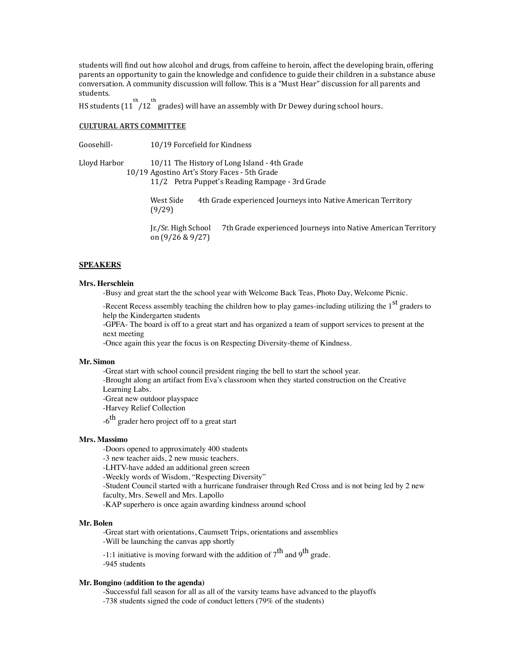students will find out how alcohol and drugs, from caffeine to heroin, affect the developing brain, offering parents an opportunity to gain the knowledge and confidence to guide their children in a substance abuse conversation. A community discussion will follow. This is a "Must Hear" discussion for all parents and students.

HS students  $(11)/12$  grades) will have an assembly with Dr Dewey during school hours.

#### **CULTURAL ARTS COMMITTEE**

Goosehill- 10/19 Forcefield for Kindness

Lloyd Harbor 10/11 The History of Long Island - 4th Grade 10/19 Agostino Art's Story Faces - 5th Grade

11/2 Petra Puppet's Reading Rampage - 3rd Grade

West Side 4th Grade experienced Journeys into Native American Territory (9/29)

Ir./Sr. High School 7th Grade experienced Journeys into Native American Territory on (9/26 & 9/27)

# **SPEAKERS**

#### **Mrs. Herschlein**

-Busy and great start the the school year with Welcome Back Teas, Photo Day, Welcome Picnic.

-Recent Recess assembly teaching the children how to play games-including utilizing the 1<sup>st</sup> graders to help the Kindergarten students

-GPFA- The board is off to a great start and has organized a team of support services to present at the next meeting

-Once again this year the focus is on Respecting Diversity-theme of Kindness.

#### **Mr. Simon**

-Great start with school council president ringing the bell to start the school year.

-Brought along an artifact from Eva's classroom when they started construction on the Creative

Learning Labs.

-Great new outdoor playspace

-Harvey Relief Collection

 $-6$ <sup>th</sup> grader hero project off to a great start

#### **Mrs. Massimo**

-Doors opened to approximately 400 students

-3 new teacher aids, 2 new music teachers.

-LHTV-have added an additional green screen

-Weekly words of Wisdom, "Respecting Diversity"

-Student Council started with a hurricane fundraiser through Red Cross and is not being led by 2 new faculty, Mrs. Sewell and Mrs. Lapollo

-KAP superhero is once again awarding kindness around school

#### **Mr. Bolen**

-Great start with orientations, Caumsett Trips, orientations and assemblies -Will be launching the canvas app shortly

-1:1 initiative is moving forward with the addition of  $7^{\text{th}}$  and  $9^{\text{th}}$  grade. -945 students

#### **Mr. Bongino (addition to the agenda)**

-Successful fall season for all as all of the varsity teams have advanced to the playoffs -738 students signed the code of conduct letters (79% of the students)